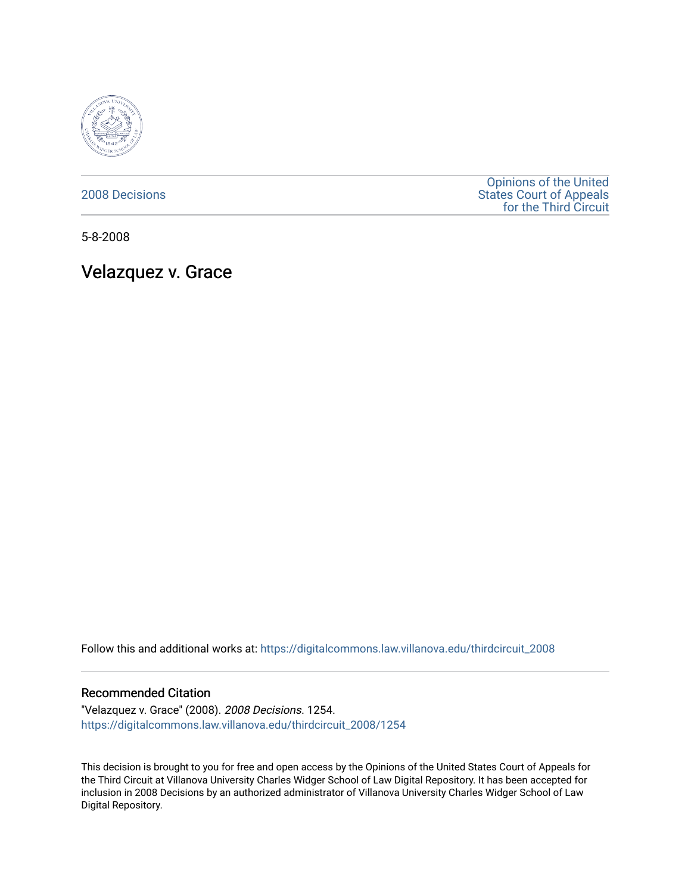

[2008 Decisions](https://digitalcommons.law.villanova.edu/thirdcircuit_2008)

[Opinions of the United](https://digitalcommons.law.villanova.edu/thirdcircuit)  [States Court of Appeals](https://digitalcommons.law.villanova.edu/thirdcircuit)  [for the Third Circuit](https://digitalcommons.law.villanova.edu/thirdcircuit) 

5-8-2008

Velazquez v. Grace

Follow this and additional works at: [https://digitalcommons.law.villanova.edu/thirdcircuit\\_2008](https://digitalcommons.law.villanova.edu/thirdcircuit_2008?utm_source=digitalcommons.law.villanova.edu%2Fthirdcircuit_2008%2F1254&utm_medium=PDF&utm_campaign=PDFCoverPages) 

### Recommended Citation

"Velazquez v. Grace" (2008). 2008 Decisions. 1254. [https://digitalcommons.law.villanova.edu/thirdcircuit\\_2008/1254](https://digitalcommons.law.villanova.edu/thirdcircuit_2008/1254?utm_source=digitalcommons.law.villanova.edu%2Fthirdcircuit_2008%2F1254&utm_medium=PDF&utm_campaign=PDFCoverPages) 

This decision is brought to you for free and open access by the Opinions of the United States Court of Appeals for the Third Circuit at Villanova University Charles Widger School of Law Digital Repository. It has been accepted for inclusion in 2008 Decisions by an authorized administrator of Villanova University Charles Widger School of Law Digital Repository.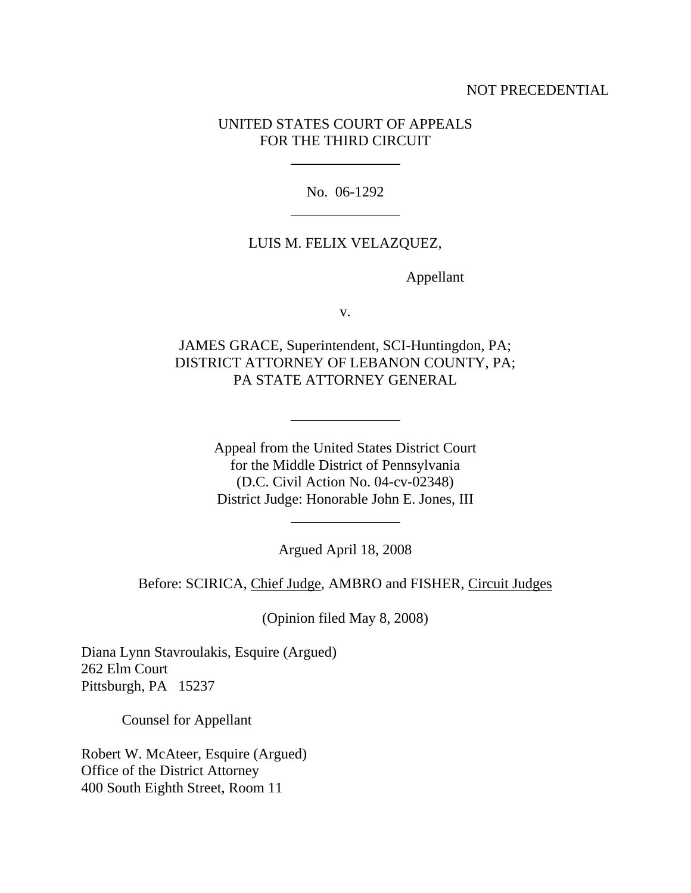# NOT PRECEDENTIAL

# UNITED STATES COURT OF APPEALS FOR THE THIRD CIRCUIT

 $\overline{a}$ 

 $\overline{a}$ 

 $\overline{a}$ 

 $\overline{a}$ 

No. 06-1292

### LUIS M. FELIX VELAZQUEZ,

Appellant

v.

JAMES GRACE, Superintendent, SCI-Huntingdon, PA; DISTRICT ATTORNEY OF LEBANON COUNTY, PA; PA STATE ATTORNEY GENERAL

> Appeal from the United States District Court for the Middle District of Pennsylvania (D.C. Civil Action No. 04-cv-02348) District Judge: Honorable John E. Jones, III

> > Argued April 18, 2008

Before: SCIRICA, Chief Judge, AMBRO and FISHER, Circuit Judges

(Opinion filed May 8, 2008)

Diana Lynn Stavroulakis, Esquire (Argued) 262 Elm Court Pittsburgh, PA 15237

Counsel for Appellant

Robert W. McAteer, Esquire (Argued) Office of the District Attorney 400 South Eighth Street, Room 11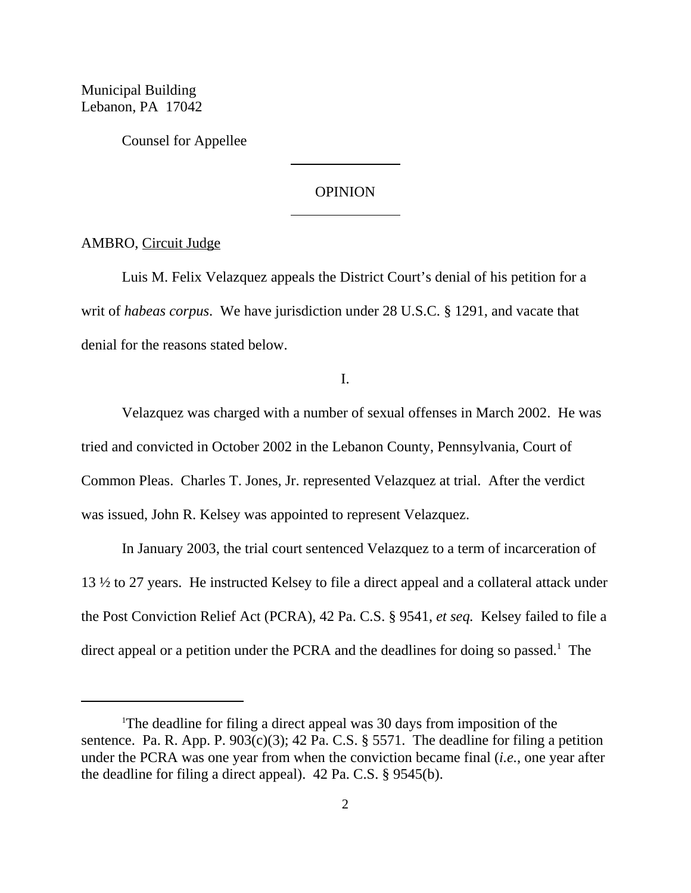Municipal Building Lebanon, PA 17042

Counsel for Appellee

## OPINION

 $\overline{a}$ 

 $\overline{a}$ 

AMBRO, Circuit Judge

Luis M. Felix Velazquez appeals the District Court's denial of his petition for a writ of *habeas corpus*. We have jurisdiction under 28 U.S.C. § 1291, and vacate that denial for the reasons stated below.

I.

Velazquez was charged with a number of sexual offenses in March 2002. He was tried and convicted in October 2002 in the Lebanon County, Pennsylvania, Court of Common Pleas. Charles T. Jones, Jr. represented Velazquez at trial. After the verdict was issued, John R. Kelsey was appointed to represent Velazquez.

In January 2003, the trial court sentenced Velazquez to a term of incarceration of 13 ½ to 27 years. He instructed Kelsey to file a direct appeal and a collateral attack under the Post Conviction Relief Act (PCRA), 42 Pa. C.S. § 9541, *et seq.* Kelsey failed to file a direct appeal or a petition under the PCRA and the deadlines for doing so passed.<sup>1</sup> The

<sup>&</sup>lt;sup>1</sup>The deadline for filing a direct appeal was 30 days from imposition of the sentence. Pa. R. App. P.  $903(c)(3)$ ; 42 Pa. C.S. § 5571. The deadline for filing a petition under the PCRA was one year from when the conviction became final (*i.e.*, one year after the deadline for filing a direct appeal). 42 Pa. C.S. § 9545(b).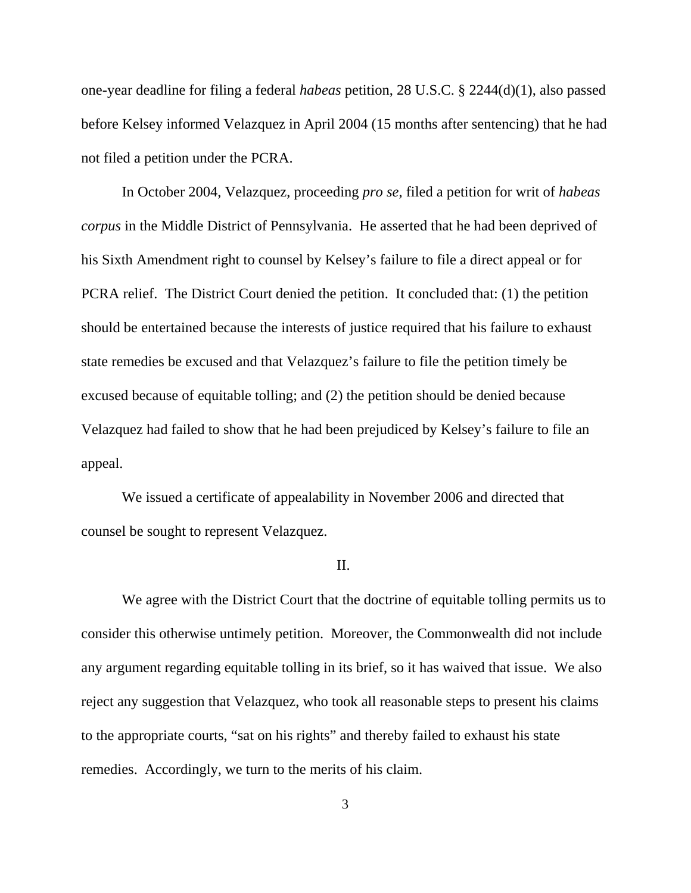one-year deadline for filing a federal *habeas* petition, 28 U.S.C. § 2244(d)(1), also passed before Kelsey informed Velazquez in April 2004 (15 months after sentencing) that he had not filed a petition under the PCRA.

In October 2004, Velazquez, proceeding *pro se*, filed a petition for writ of *habeas corpus* in the Middle District of Pennsylvania. He asserted that he had been deprived of his Sixth Amendment right to counsel by Kelsey's failure to file a direct appeal or for PCRA relief. The District Court denied the petition. It concluded that: (1) the petition should be entertained because the interests of justice required that his failure to exhaust state remedies be excused and that Velazquez's failure to file the petition timely be excused because of equitable tolling; and (2) the petition should be denied because Velazquez had failed to show that he had been prejudiced by Kelsey's failure to file an appeal.

We issued a certificate of appealability in November 2006 and directed that counsel be sought to represent Velazquez.

### II.

We agree with the District Court that the doctrine of equitable tolling permits us to consider this otherwise untimely petition. Moreover, the Commonwealth did not include any argument regarding equitable tolling in its brief, so it has waived that issue. We also reject any suggestion that Velazquez, who took all reasonable steps to present his claims to the appropriate courts, "sat on his rights" and thereby failed to exhaust his state remedies. Accordingly, we turn to the merits of his claim.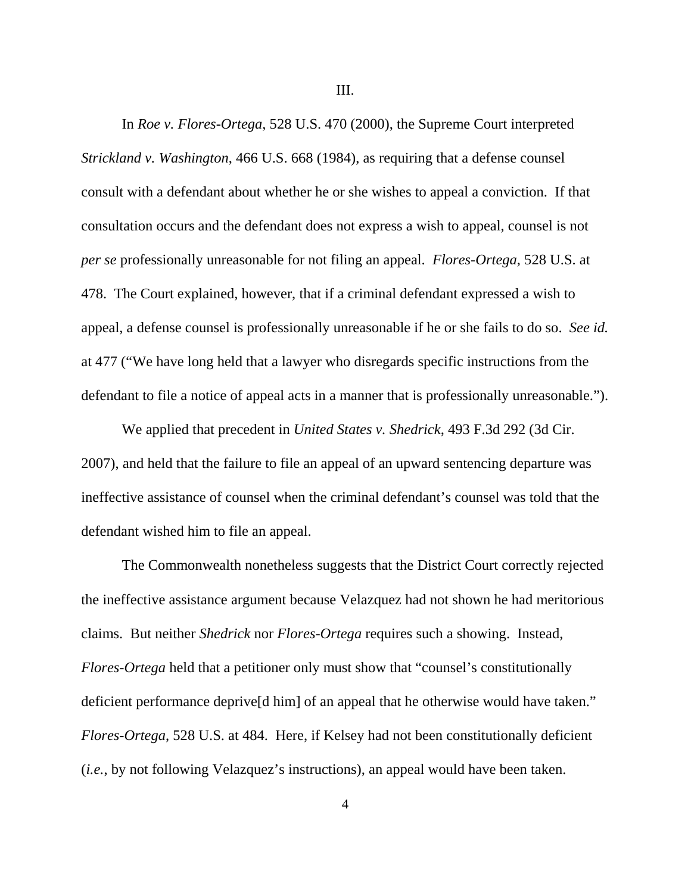III.

In *Roe v. Flores-Ortega*, 528 U.S. 470 (2000), the Supreme Court interpreted *Strickland v. Washington*, 466 U.S. 668 (1984), as requiring that a defense counsel consult with a defendant about whether he or she wishes to appeal a conviction. If that consultation occurs and the defendant does not express a wish to appeal, counsel is not *per se* professionally unreasonable for not filing an appeal. *Flores-Ortega*, 528 U.S. at 478. The Court explained, however, that if a criminal defendant expressed a wish to appeal, a defense counsel is professionally unreasonable if he or she fails to do so. *See id.* at 477 ("We have long held that a lawyer who disregards specific instructions from the defendant to file a notice of appeal acts in a manner that is professionally unreasonable.").

We applied that precedent in *United States v. Shedrick*, 493 F.3d 292 (3d Cir. 2007), and held that the failure to file an appeal of an upward sentencing departure was ineffective assistance of counsel when the criminal defendant's counsel was told that the defendant wished him to file an appeal.

The Commonwealth nonetheless suggests that the District Court correctly rejected the ineffective assistance argument because Velazquez had not shown he had meritorious claims. But neither *Shedrick* nor *Flores-Ortega* requires such a showing. Instead, *Flores-Ortega* held that a petitioner only must show that "counsel's constitutionally deficient performance deprive[d him] of an appeal that he otherwise would have taken." *Flores-Ortega*, 528 U.S. at 484. Here, if Kelsey had not been constitutionally deficient (*i.e.*, by not following Velazquez's instructions), an appeal would have been taken.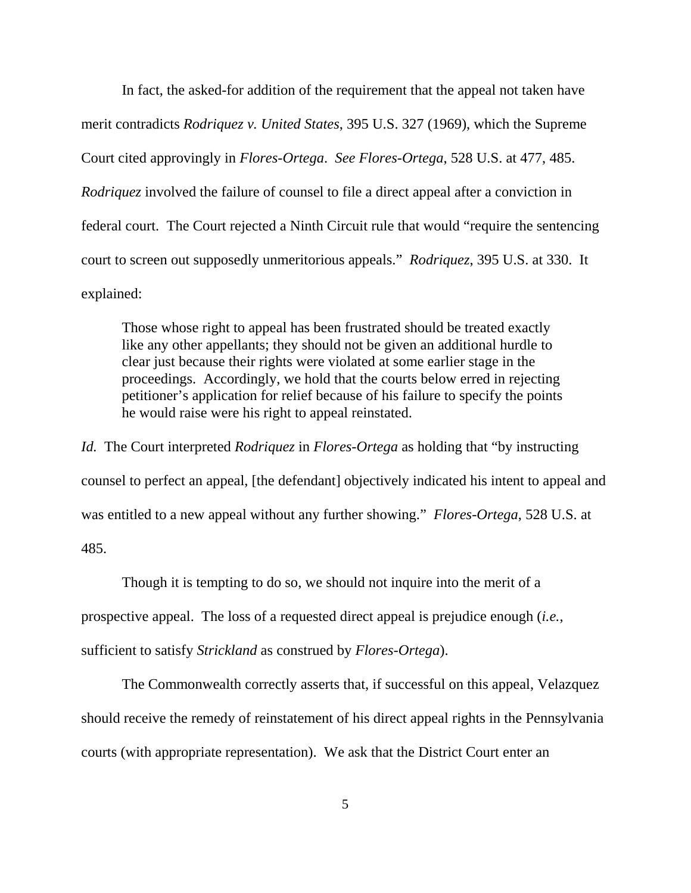In fact, the asked-for addition of the requirement that the appeal not taken have merit contradicts *Rodriquez v. United States*, 395 U.S. 327 (1969), which the Supreme Court cited approvingly in *Flores-Ortega*. *See Flores-Ortega*, 528 U.S. at 477, 485. *Rodriquez* involved the failure of counsel to file a direct appeal after a conviction in federal court. The Court rejected a Ninth Circuit rule that would "require the sentencing court to screen out supposedly unmeritorious appeals." *Rodriquez*, 395 U.S. at 330. It explained:

Those whose right to appeal has been frustrated should be treated exactly like any other appellants; they should not be given an additional hurdle to clear just because their rights were violated at some earlier stage in the proceedings. Accordingly, we hold that the courts below erred in rejecting petitioner's application for relief because of his failure to specify the points he would raise were his right to appeal reinstated.

*Id.* The Court interpreted *Rodriquez* in *Flores-Ortega* as holding that "by instructing counsel to perfect an appeal, [the defendant] objectively indicated his intent to appeal and was entitled to a new appeal without any further showing." *Flores-Ortega*, 528 U.S. at 485.

Though it is tempting to do so, we should not inquire into the merit of a prospective appeal. The loss of a requested direct appeal is prejudice enough (*i.e.*, sufficient to satisfy *Strickland* as construed by *Flores-Ortega*).

The Commonwealth correctly asserts that, if successful on this appeal, Velazquez should receive the remedy of reinstatement of his direct appeal rights in the Pennsylvania courts (with appropriate representation). We ask that the District Court enter an